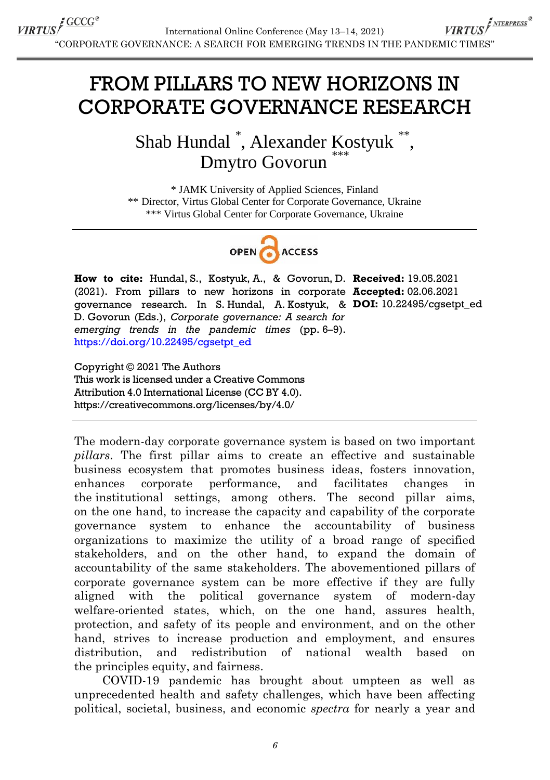## FROM PILLARS TO NEW HORIZONS IN CORPORATE GOVERNANCE RESEARCH

Shab Hundal<sup>\*</sup>, Alexander Kostyuk<sup>\*\*</sup>, Dmytro Govorun

\* JAMK University of Applied Sciences, Finland \*\* Director, Virtus Global Center for Corporate Governance, Ukraine \*\*\* Virtus Global Center for Corporate Governance, Ukraine



**How to cite:** Hundal, S., Kostyuk, A., & Govorun, D. **Received:** 19.05.2021 (2021). From pillars to new horizons in corporate **Accepted:** 02.06.2021 governance research. In S. Hundal, A. Kostyuk, & **DOI:** 10.22495/cgsetpt\_ed D. Govorun (Eds.), *Corporate governance: A search for emerging trends in the pandemic times* (pp. 6–9). [https://doi.org/10.22495/cgsetpt\\_ed](https://doi.org/10.22495/cgsetpt_ed)

Copyright © 2021 The Authors This work is licensed under a Creative Commons Attribution 4.0 International License (CC BY 4.0). https://creativecommons.org/licenses/by/4.0/

The modern-day corporate governance system is based on two important *pillars*. The first pillar aims to create an effective and sustainable business ecosystem that promotes business ideas, fosters innovation, enhances corporate performance, and facilitates changes in the institutional settings, among others. The second pillar aims, on the one hand, to increase the capacity and capability of the corporate governance system to enhance the accountability of business organizations to maximize the utility of a broad range of specified stakeholders, and on the other hand, to expand the domain of accountability of the same stakeholders. The abovementioned pillars of corporate governance system can be more effective if they are fully aligned with the political governance system of modern-day welfare-oriented states, which, on the one hand, assures health, protection, and safety of its people and environment, and on the other hand, strives to increase production and employment, and ensures distribution, and redistribution of national wealth based on the principles equity, and fairness.

COVID-19 pandemic has brought about umpteen as well as unprecedented health and safety challenges, which have been affecting political, societal, business, and economic *spectra* for nearly a year and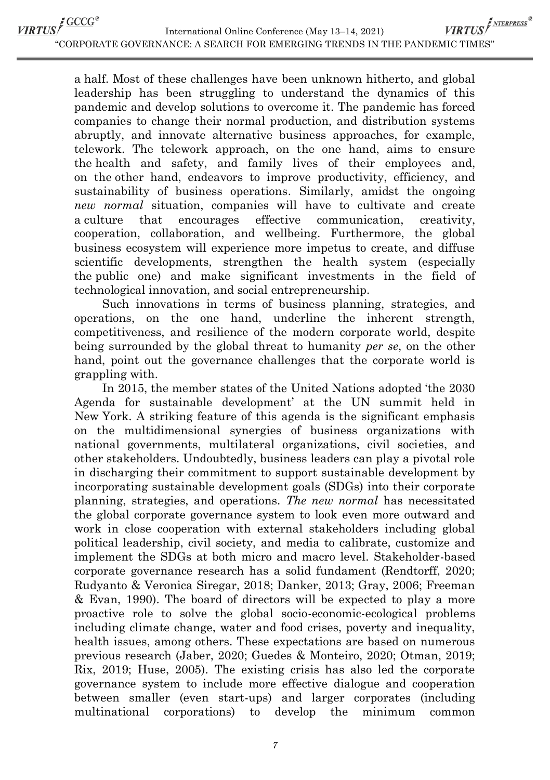VIRTUS<sup>S</sup>GCCG®

VIRTUS<sup>F NTERPRESS®</sup> International Online Conference (May 13–14, 2021) ―CORPORATE GOVERNANCE: A SEARCH FOR EMERGING TRENDS IN THE PANDEMIC TIMES‖

a half. Most of these challenges have been unknown hitherto, and global leadership has been struggling to understand the dynamics of this pandemic and develop solutions to overcome it. The pandemic has forced companies to change their normal production, and distribution systems abruptly, and innovate alternative business approaches, for example, telework. The telework approach, on the one hand, aims to ensure the health and safety, and family lives of their employees and, on the other hand, endeavors to improve productivity, efficiency, and sustainability of business operations. Similarly, amidst the ongoing *new normal* situation, companies will have to cultivate and create a culture that encourages effective communication, creativity, cooperation, collaboration, and wellbeing. Furthermore, the global business ecosystem will experience more impetus to create, and diffuse scientific developments, strengthen the health system (especially the public one) and make significant investments in the field of technological innovation, and social entrepreneurship.

Such innovations in terms of business planning, strategies, and operations, on the one hand, underline the inherent strength, competitiveness, and resilience of the modern corporate world, despite being surrounded by the global threat to humanity *per se*, on the other hand, point out the governance challenges that the corporate world is grappling with.

In 2015, the member states of the United Nations adopted ‗the 2030 Agenda for sustainable development' at the UN summit held in New York. A striking feature of this agenda is the significant emphasis on the multidimensional synergies of business organizations with national governments, multilateral organizations, civil societies, and other stakeholders. Undoubtedly, business leaders can play a pivotal role in discharging their commitment to support sustainable development by incorporating sustainable development goals (SDGs) into their corporate planning, strategies, and operations. *The new normal* has necessitated the global corporate governance system to look even more outward and work in close cooperation with external stakeholders including global political leadership, civil society, and media to calibrate, customize and implement the SDGs at both micro and macro level. Stakeholder-based corporate governance research has a solid fundament (Rendtorff, 2020; Rudyanto & Veronica Siregar, 2018; Danker, 2013; Gray, 2006; Freeman & Evan, 1990). The board of directors will be expected to play a more proactive role to solve the global socio-economic-ecological problems including climate change, water and food crises, poverty and inequality, health issues, among others. These expectations are based on numerous previous research (Jaber, 2020; Guedes & Monteiro, 2020; Otman, 2019; Rix, 2019; Huse, 2005). The existing crisis has also led the corporate governance system to include more effective dialogue and cooperation between smaller (even start-ups) and larger corporates (including multinational corporations) to develop the minimum common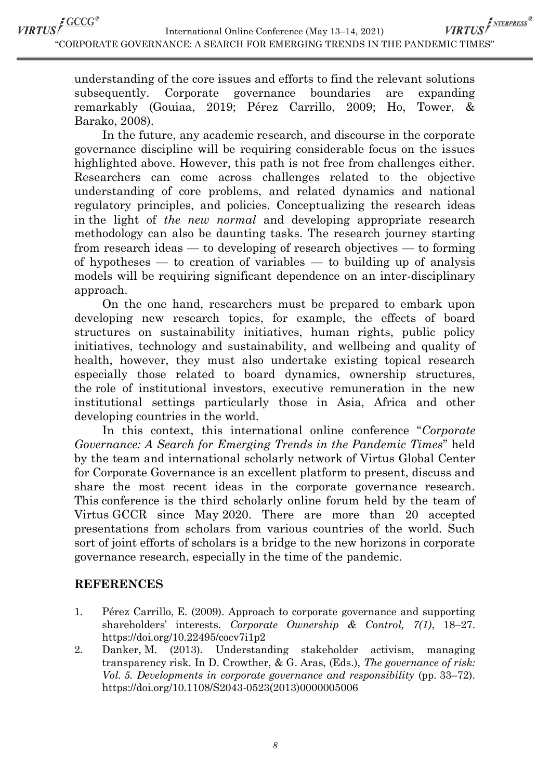VIRTUS <sup>CCCC®</sup> VIRTUS<sup>F NTERPRESS®</sup> International Online Conference (May 13–14, 2021) ―CORPORATE GOVERNANCE: A SEARCH FOR EMERGING TRENDS IN THE PANDEMIC TIMES‖

> understanding of the core issues and efforts to find the relevant solutions subsequently. Corporate governance boundaries are expanding remarkably (Gouiaa, 2019; Pérez Carrillo, 2009; Ho, Tower, & Barako, 2008).

> In the future, any academic research, and discourse in the corporate governance discipline will be requiring considerable focus on the issues highlighted above. However, this path is not free from challenges either. Researchers can come across challenges related to the objective understanding of core problems, and related dynamics and national regulatory principles, and policies. Conceptualizing the research ideas in the light of *the new normal* and developing appropriate research methodology can also be daunting tasks. The research journey starting from research ideas — to developing of research objectives — to forming of hypotheses  $-$  to creation of variables  $-$  to building up of analysis models will be requiring significant dependence on an inter-disciplinary approach.

> On the one hand, researchers must be prepared to embark upon developing new research topics, for example, the effects of board structures on sustainability initiatives, human rights, public policy initiatives, technology and sustainability, and wellbeing and quality of health, however, they must also undertake existing topical research especially those related to board dynamics, ownership structures, the role of institutional investors, executive remuneration in the new institutional settings particularly those in Asia, Africa and other developing countries in the world.

> In this context, this international online conference "*Corporate Governance: A Search for Emerging Trends in the Pandemic Times*" held by the team and international scholarly network of Virtus Global Center for Corporate Governance is an excellent platform to present, discuss and share the most recent ideas in the corporate governance research. This conference is the third scholarly online forum held by the team of Virtus GCCR since May 2020. There are more than 20 accepted presentations from scholars from various countries of the world. Such sort of joint efforts of scholars is a bridge to the new horizons in corporate governance research, especially in the time of the pandemic.

## **REFERENCES**

- 1. Pérez Carrillo, E. (2009). Approach to corporate governance and supporting shareholders' interests. *Corporate Ownership & Control, 7(1)*, 18–27. <https://doi.org/10.22495/cocv7i1p2>
- 2. [Danker,](https://www.emerald.com/insight/search?q=Millicent%20Danker) M. (2013). Understanding stakeholder activism, managing transparency risk. In D. [Crowther, &](https://www.emerald.com/insight/search?q=David%20Crowther) G. [Aras, \(E](https://www.emerald.com/insight/search?q=G%C3%BCler%20Aras)ds.), *The governance of risk: Vol. 5. Developments in corporate governance and responsibility* (pp. 33–72). [https://doi.org/10.1108/S2043-0523\(2013\)0000005006](https://doi.org/10.1108/S2043-0523(2013)0000005006)